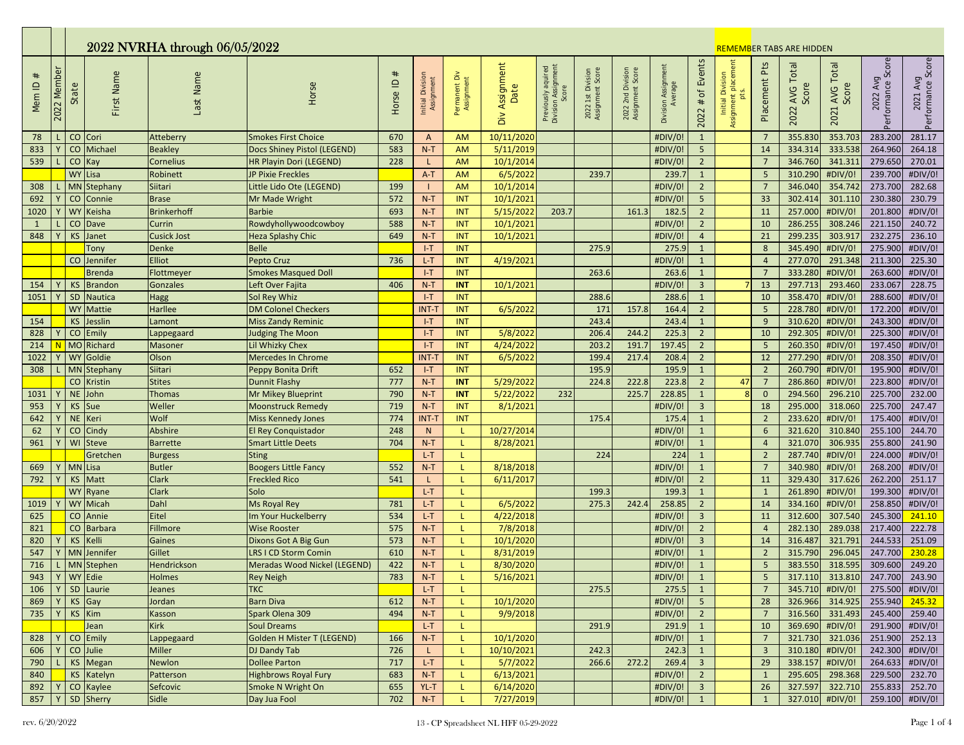|                       | 2022 NVRHA through 06/05/2022 |                 |                           |                         |                                            |            |                                |                             |                           |                                           |                                       |                                       |                                |                                        | <b>REMEMBER TABS ARE HIDDEN</b>                |                                  |                            |                         |                               |                               |  |
|-----------------------|-------------------------------|-----------------|---------------------------|-------------------------|--------------------------------------------|------------|--------------------------------|-----------------------------|---------------------------|-------------------------------------------|---------------------------------------|---------------------------------------|--------------------------------|----------------------------------------|------------------------------------------------|----------------------------------|----------------------------|-------------------------|-------------------------------|-------------------------------|--|
| $_{\rm \#}$<br>Mem ID | Member<br>2022                | State           | First Name                | Last Name               | Horse                                      | Horse ID # | Initial Division<br>Assignment | Permanent Div<br>Assignment | Assignment<br>Date<br>Div | Previously aquired<br>Division Assignment | 2022 1st Division<br>Assignment Score | 2022 2nd Division<br>Assignment Score | Division Assignment<br>Average | Events<br>$\mathsf{b}$<br>$\#$<br>2022 | Assignment placement<br>Initial Division<br>ts | Placement Pts                    | AVG Total<br>Score<br>2022 | 2021 AVG Total<br>Score | 2022 Avg<br>Performance Score | 2021 Avg<br>Performance Score |  |
| 78                    |                               | CO Cori         |                           | Atteberry               | <b>Smokes First Choice</b>                 | 670        | A                              | <b>AM</b>                   | 10/11/2020                |                                           |                                       |                                       | #DIV/0!                        | $\mathbf{1}$                           |                                                | $7\overline{ }$                  | 355.830                    | 353.703                 | 283.200                       | 281.17                        |  |
| 833                   |                               |                 | CO Michael                | <b>Beakley</b>          | Docs Shiney Pistol (LEGEND)                | 583        | $N-T$                          | <b>AM</b>                   | 5/11/2019                 |                                           |                                       |                                       | #DIV/0!                        | 5 <sup>1</sup>                         |                                                | 14                               | 334.314                    | 333.538                 | 264.960                       | 264.18                        |  |
| 539                   |                               | CO Kay          |                           | Cornelius               | HR Playin Dori (LEGEND)                    | 228        |                                | <b>AM</b>                   | 10/1/2014                 |                                           |                                       |                                       | #DIV/0!                        | $\overline{2}$                         |                                                | $\overline{7}$                   | 346.760                    | 341.311                 | 279.650                       | 270.01                        |  |
|                       |                               | WY Lisa         |                           | Robinett                | JP Pixie Freckles                          |            | $A-T$                          | AM                          | 6/5/2022                  |                                           | 239.7                                 |                                       | 239.7                          | $\mathbf{1}$                           |                                                | 5                                | 310.290                    | #DIV/0!                 | 239.700                       | #DIV/0!                       |  |
| 308                   |                               |                 | MN Stephany               | Siitari                 | Little Lido Ote (LEGEND)                   | 199        |                                | <b>AM</b>                   | 10/1/2014                 |                                           |                                       |                                       | #DIV/0!                        | $\overline{2}$                         |                                                | $\overline{7}$                   | 346.040                    | 354.742                 | 273.700                       | 282.68                        |  |
| 692                   |                               |                 | CO Connie                 | <b>Brase</b>            | Mr Made Wright                             | 572        | $N-T$                          | <b>INT</b>                  | 10/1/202                  |                                           |                                       |                                       | #DIV/0!                        | $5\phantom{.0}$                        |                                                | 33                               | 302.414                    | 301.110                 | 230.380                       | 230.79                        |  |
| 1020                  |                               | <b>WY</b>       | Keisha                    | <b>Brinkerhoff</b>      | <b>Barbie</b>                              | 693        | $N-T$                          | <b>INT</b>                  | 5/15/2022                 | 203.7                                     |                                       | 161.                                  | 182.5                          | $\overline{2}$                         |                                                | 11                               | 257.000                    | #DIV/0!                 | 201.800                       | #DIV/0!                       |  |
| $\mathbf{1}$          |                               |                 | CO Dave                   | Currin                  | Rowdyhollywoodcowboy                       | 588        | $N-T$                          | <b>INT</b>                  | 10/1/202                  |                                           |                                       |                                       | #DIV/0!                        | $\overline{2}$                         |                                                | 10                               | 286.255                    | 308.246                 | 221.150                       | 240.72                        |  |
| 848                   |                               | KS              | Janet                     | <b>Cusick Jost</b>      | <b>Heza Splashy Chic</b>                   | 649        | $N-T$                          | <b>INT</b>                  | 10/1/2021                 |                                           |                                       |                                       | #DIV/0!                        | $\overline{4}$                         |                                                | 21                               | 299.235                    | 303.917                 | 232.275                       | 236.10                        |  |
|                       |                               |                 | Tony                      | <b>Denke</b>            | <b>Belle</b>                               |            | $I-T$                          | <b>INT</b>                  |                           |                                           | 275.9                                 |                                       | 275.9                          | $\mathbf{1}$                           |                                                | 8                                | 345.490                    | #DIV/0!                 | 275.900                       | #DIV/0!                       |  |
|                       |                               | CO              | Jennifer                  | <b>Elliot</b>           | Pepto Cruz                                 | 736        | L-T                            | <b>INT</b>                  | 4/19/2021                 |                                           |                                       |                                       | #DIV/0!                        | $\mathbf{1}$                           |                                                | $\overline{4}$                   | 277.070                    | 291.348                 | 211.300                       | 225.30                        |  |
|                       |                               |                 | <b>Brenda</b>             | Flottmeyer              | <b>Smokes Masqued Doll</b>                 |            | $I-T$                          | <b>INT</b>                  |                           |                                           | 263.6                                 |                                       | 263.6                          | $\bullet$                              |                                                | $\overline{7}$                   | 333.280                    | #DIV/0!                 | 263.600                       | #DIV/0!                       |  |
| 154                   |                               | <b>KS</b>       | Brandon                   | Gonzales                | Left Over Fajita                           | 406        | $N-T$                          | <b>INT</b>                  | 10/1/2021                 |                                           |                                       |                                       | #DIV/0!                        | $\overline{3}$                         | $\overline{7}$                                 | 13                               | 297.713                    | 293.460                 | 233.067                       | 228.75                        |  |
| 1051                  |                               | SD              | <b>Nautica</b>            | Hagg                    | Sol Rey Whiz                               |            | $I-T$                          | <b>INT</b>                  |                           |                                           | 288.6                                 |                                       | 288.6                          | $\mathbf{1}$                           |                                                | 10                               | 358.470                    | #DIV/0!                 | 288.600                       | #DIV/0!                       |  |
|                       |                               |                 | <b>WY Mattie</b>          | Harllee                 | <b>DM Colonel Checkers</b>                 |            | <b>INT-T</b>                   | <b>INT</b>                  | 6/5/2022                  |                                           | 171                                   | 157.8                                 | 164.4                          | $2^{\circ}$                            |                                                | 5                                | 228.780                    | #DIV/0                  | 172.200                       | #DIV/0!                       |  |
| 154                   |                               |                 | KS Jesslin                | Lamont                  | <b>Miss Zandy Reminic</b>                  |            | $I-T$                          | <b>INT</b>                  |                           |                                           | 243.4                                 |                                       | 243.4                          | $\mathbf{1}$                           |                                                | 9                                | 310.620                    | #DIV/0!                 | 243.300                       | #DIV/0!                       |  |
| 828                   |                               | CO <sub>1</sub> | Emily<br>MO Richard       | Lappegaard              | <b>Judging The Moon</b>                    |            | $  -T$                         | <b>INT</b>                  | 5/8/2022                  |                                           | 206.4                                 | 244.2                                 | 225.3                          | $\overline{2}$                         |                                                | 10                               | 292.305                    | #DIV/0!                 | 225.300                       | #DIV/0!                       |  |
| 214                   |                               |                 |                           | Masoner                 | Lil Whizky Chex                            |            | $I-T$                          | <b>INT</b>                  | 4/24/2022                 |                                           | 203.2                                 | 191.                                  | 197.45                         | $\overline{2}$                         |                                                | $5\phantom{a}$                   | 260.350                    | #DIV/0                  | 197.450                       | #DIV/0!                       |  |
| 1022                  |                               |                 | WY Goldie                 | Olson                   | <b>Mercedes In Chrome</b>                  |            | <b>INT-T</b>                   | <b>INT</b>                  | 6/5/2022                  |                                           | 199.4                                 | 217.4                                 | 208.4                          | $\overline{2}$                         |                                                | 12                               | 277.290                    | #DIV/0!                 | 208.350                       | #DIV/0!                       |  |
| 308                   |                               |                 | MN Stephany<br>CO Kristin | Siitari                 | Peppy Bonita Drift                         | 652        | $I-T$<br>$N-T$                 | <b>INT</b><br><b>INT</b>    |                           |                                           | 195.9<br>224.8                        | 222.8                                 | 195.9<br>223.8                 | $\mathbf{1}$<br>$\overline{2}$         |                                                | $\overline{2}$<br>$\overline{7}$ | 260.790<br>286.860         | #DIV/0!<br>#DIV/0!      | 195.900<br>223.800            | #DIV/0!<br>#DIV/0!            |  |
| 1031                  |                               | NE              | John                      | <b>Stites</b><br>Thomas | <b>Dunnit Flashy</b><br>Mr Mikey Blueprint | 777<br>790 | $N-T$                          | <b>INT</b>                  | 5/29/2022<br>5/22/2022    | 232                                       |                                       | 225.7                                 | 228.85                         | $\mathbf{1}$                           | 47<br>8                                        | $\mathbf{0}$                     | 294.560                    | 296.210                 | 225.700                       | 232.00                        |  |
| 953                   |                               | <b>KS</b>       | Sue                       | Weller                  | <b>Moonstruck Remedy</b>                   | 719        | $N-T$                          | <b>INT</b>                  | 8/1/2021                  |                                           |                                       |                                       | #DIV/0!                        | $\overline{3}$                         |                                                | 18                               | 295.000                    | 318.060                 | 225.700                       | 247.47                        |  |
| 642                   |                               | NE Keri         |                           | Wolf                    | <b>Miss Kennedy Jones</b>                  | 774        | <b>INT-T</b>                   | INT                         |                           |                                           | 175.4                                 |                                       | 175.4                          | $\mathbf{1}$                           |                                                | $\overline{2}$                   | 233.620                    | #DIV/0!                 | 175.400                       | #DIV/0!                       |  |
| 62                    |                               |                 | CO Cindy                  | Abshire                 | El Rey Conquistador                        | 248        | N                              |                             | 10/27/2014                |                                           |                                       |                                       | #DIV/0!                        | $\mathbf{1}$                           |                                                | $6\phantom{1}$                   | 321.620                    | 310.840                 | 255.100                       | 244.70                        |  |
| 961                   |                               | WI              | Steve                     | <b>Barrette</b>         | <b>Smart Little Deets</b>                  | 704        | $N-T$                          |                             | 8/28/2021                 |                                           |                                       |                                       | #DIV/0!                        | $\mathbf{1}$                           |                                                | $\overline{4}$                   | 321.070                    | 306.935                 | 255.800                       | 241.90                        |  |
|                       |                               |                 | Gretchen                  | <b>Burgess</b>          | <b>Sting</b>                               |            | $L-T$                          | т.                          |                           |                                           | 224                                   |                                       | 224                            | $\mathbf{1}$                           |                                                | $\overline{2}$                   | 287.740                    | #DIV/0!                 | 224.000                       | #DIV/0!                       |  |
| 669                   |                               | MN Lisa         |                           | <b>Butler</b>           | <b>Boogers Little Fancy</b>                | 552        | $N-T$                          |                             | 8/18/2018                 |                                           |                                       |                                       | #DIV/0!                        | $\mathbf{1}$                           |                                                | $\overline{7}$                   | 340.980                    | #DIV/0!                 | 268.200                       | #DIV/0!                       |  |
| 792                   |                               |                 | KS Matt                   | <b>Clark</b>            | <b>Freckled Rico</b>                       | 541        |                                |                             | 6/11/2017                 |                                           |                                       |                                       | #DIV/0!                        | $\overline{2}$                         |                                                | 11                               | 329.430                    | 317.626                 | 262.200                       | 251.17                        |  |
|                       |                               |                 | <b>WY</b> Ryane           | <b>Clark</b>            | Solo                                       |            | L-T                            | т.                          |                           |                                           | 199.3                                 |                                       | 199.3                          | $\mathbf{1}$                           |                                                | $\mathbf{1}$                     | 261.890                    | #DIV/0!                 | 199.300                       | #DIV/0!                       |  |
| 1019                  |                               |                 | WY Micah                  | Dahl                    | <b>Ms Royal Rey</b>                        | 781        | L-T                            | L                           | 6/5/2022                  |                                           | 275.3                                 | 242.                                  | 258.85                         | $\overline{2}$                         |                                                | 14                               | 334.160                    | #DIV/0!                 | 258.850                       | #DIV/0!                       |  |
| 625                   |                               |                 | CO Annie                  | Eitel                   | Im Your Huckelberry                        | 534        | $L-T$                          |                             | 4/22/2018                 |                                           |                                       |                                       | #DIV/0!                        | $\overline{3}$                         |                                                | 11                               | 312.600                    | 307.540                 | 245.300                       | 241.10                        |  |
| 821                   |                               |                 | CO Barbara                | Fillmore                | <b>Wise Rooster</b>                        | 575        | $N-T$                          | L                           | 7/8/2018                  |                                           |                                       |                                       | #DIV/0!                        | $\overline{2}$                         |                                                | $\overline{4}$                   | 282.130                    | 289.038                 | 217.400                       | 222.78                        |  |
| 820                   |                               | <b>KS</b>       | Kelli                     | Gaines                  | Dixons Got A Big Gun                       | 573        | $N-T$                          |                             | 10/1/2020                 |                                           |                                       |                                       | #DIV/0!                        | $\overline{3}$                         |                                                | 14                               | 316.487                    | 321.791                 | 244.533                       | 251.09                        |  |
| 547                   |                               |                 | <b>MN</b> Jennifer        | Gillet                  | <b>LRS I CD Storm Comin</b>                | 610        | $N-T$                          |                             | 8/31/2019                 |                                           |                                       |                                       | #DIV/0!                        | $\mathbf{1}$                           |                                                | $\overline{2}$                   | 315.790                    | 296.045                 | 247.700                       | 230.28                        |  |
| 716                   |                               |                 | MN Stephen                | Hendrickson             | Meradas Wood Nickel (LEGEND)               | 422        | $N-T$                          |                             | 8/30/2020                 |                                           |                                       |                                       | #DIV/0!                        | $\mathbf{1}$                           |                                                | 5                                | 383.550                    | 318.595                 | 309.600                       | 249.20                        |  |
| 943                   |                               |                 | Y WY Edie                 | Holmes                  | <b>Rey Neigh</b>                           | 783        | $N-T$                          | L.                          | 5/16/2021                 |                                           |                                       |                                       | #DIV/0!                        | $\mathbf{1}$                           |                                                | 5 <sub>1</sub>                   |                            | 317.110 313.810         | 247.700 243.90                |                               |  |
| 106                   |                               |                 | SD Laurie                 | Jeanes                  | <b>TKC</b>                                 |            | $L-T$                          |                             |                           |                                           | 275.5                                 |                                       | 275.5                          | $\mathbf{1}$                           |                                                | $7\overline{ }$                  | 345.710                    | #DIV/0!                 | 275.500 #DIV/0!               |                               |  |
| 869                   |                               | $KS$ Gay        |                           | Jordan                  | <b>Barn Diva</b>                           | 612        | $N-T$                          |                             | 10/1/2020                 |                                           |                                       |                                       | #DIV/0!                        | 5 <sup>5</sup>                         |                                                | 28                               | 326.966                    | 314.925                 | 255.940 245.32                |                               |  |
| 735                   |                               | KS Kim          |                           | Kasson                  | Spark Olena 309                            | 494        | $N-T$                          |                             | 9/9/2018                  |                                           |                                       |                                       | #DIV/0!                        | $\overline{2}$                         |                                                | $\overline{7}$                   | 316.560                    | 331.493                 | 245.400 259.40                |                               |  |
|                       |                               |                 | Jean                      | Kirk                    | Soul Dreams                                |            | $L-T$                          |                             |                           |                                           | 291.9                                 |                                       | 291.9                          | $\mathbf{1}$                           |                                                | 10                               | 369.690                    | #DIV/0!                 | 291.900 #DIV/0!               |                               |  |
| 828                   |                               |                 | CO Emily                  | Lappegaard              | <b>Golden H Mister T (LEGEND)</b>          | 166        | $N-T$                          |                             | 10/1/2020                 |                                           |                                       |                                       | #DIV/0!                        | $\mathbf{1}$                           |                                                | 7 <sup>7</sup>                   | 321.730                    | 321.036                 | 251.900 252.13                |                               |  |
| 606                   |                               |                 | CO Julie                  | <b>Miller</b>           | DJ Dandy Tab                               | 726        | L.                             |                             | 10/10/2021                |                                           | 242.3                                 |                                       | 242.3                          | $\mathbf{1}$                           |                                                | 3 <sup>2</sup>                   | 310.180                    | #DIV/0!                 | 242.300 #DIV/0!               |                               |  |
| 790                   |                               |                 | KS Megan                  | Newlon                  | Dollee Parton                              | 717        | $L-T$                          | L                           | 5/7/2022                  |                                           | 266.6                                 | 272.2                                 | 269.4                          | $\overline{3}$                         |                                                | 29                               | 338.157                    | #DIV/0!                 | 264.633 #DIV/0!               |                               |  |
| 840                   |                               |                 | KS Katelyn                | Patterson               | <b>Highbrows Royal Fury</b>                | 683        | $N-T$                          |                             | 6/13/2021                 |                                           |                                       |                                       | #DIV/0!                        | $\overline{2}$                         |                                                | $\mathbf{1}$                     | 295.605                    | 298.368                 | 229.500 232.70                |                               |  |
| 892                   |                               |                 | CO Kaylee                 | Sefcovic                | Smoke N Wright On                          | 655        | YL-T                           |                             | 6/14/2020                 |                                           |                                       |                                       | #DIV/0!                        | $\overline{3}$                         |                                                | 26                               | 327.597                    | 322.710                 | 255.833 252.70                |                               |  |
| 857                   |                               |                 | SD Sherry                 | Sidle                   | Day Jua Fool                               | 702        | $N-T$                          |                             | 7/27/2019                 |                                           |                                       |                                       | #DIV/0!                        | $\mathbf{1}$                           |                                                | $\mathbf{1}$                     |                            | 327.010 #DIV/0!         |                               | 259.100 #DIV/0!               |  |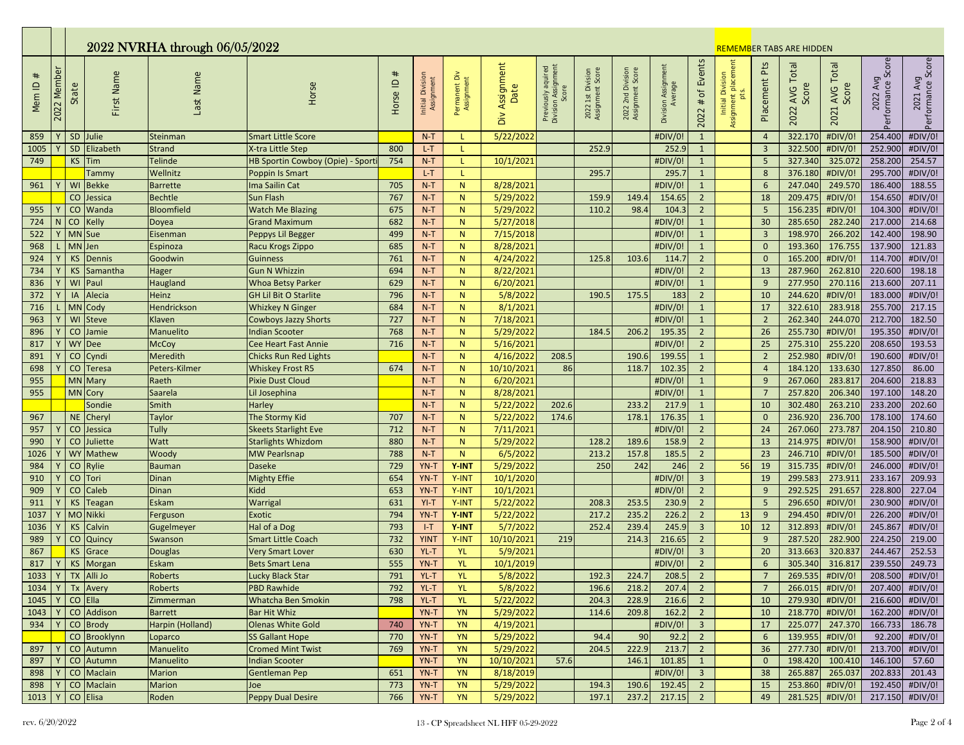|                       |             | 2022 NVRHA through 06/05/2022 |                          |                     |                                                      |              |                                |                              |                              |                                           |                                       |                                       |                                |                                  |                                               | <b>REMEMBER TABS ARE HIDDEN</b>   |                            |                                               |                                         |                                    |  |
|-----------------------|-------------|-------------------------------|--------------------------|---------------------|------------------------------------------------------|--------------|--------------------------------|------------------------------|------------------------------|-------------------------------------------|---------------------------------------|---------------------------------------|--------------------------------|----------------------------------|-----------------------------------------------|-----------------------------------|----------------------------|-----------------------------------------------|-----------------------------------------|------------------------------------|--|
| $_{\rm \#}$<br>Mem ID | 2022 Member | State                         | First Name               | Last Name           | Horse                                                | Horse ID $#$ | Initial Division<br>Assignment | Permanent Div<br>Assignment  | Assignment<br>Date<br>$\geq$ | Previously aquired<br>Division Assignment | 2022 1st Division<br>Assignment Score | 2022 2nd Division<br>Assignment Score | Division Assignment<br>Average | of Events<br>$\#$<br>2022        | Assignment placement<br>Initial Division<br>ጜ | Placement Pts                     | AVG Total<br>Score<br>2022 | <b>AVG Total</b><br>$\omega$<br>Score<br>2021 | 2022 Avg<br>-- nce Score<br>Performance | 2021 Avg<br>Performance Score      |  |
| 859                   |             |                               | SD Julie                 | Steinman            | <b>Smart Little Score</b>                            |              | $N-T$                          |                              | 5/22/2022                    |                                           |                                       |                                       | #DIV/0                         | $\mathbf{1}$                     |                                               | $\overline{4}$                    | 322.170                    | #DIV/0                                        | 254.400                                 | #DIV/0!                            |  |
| 1005                  |             |                               | SD Elizabeth             | Strand              | X-tra Little Step                                    | 800          | $L-T$                          | т.                           |                              |                                           | 252.9                                 |                                       | 252.9                          | $\mathbf{1}$                     |                                               | $\overline{3}$                    | 322.500                    | #DIV/0!                                       | 252.900                                 | #DIV/0!                            |  |
| 749                   |             |                               | $KS$ Tim                 | <b>Telinde</b>      | HB Sportin Cowboy (Opie) - Sporti                    | 754          | $N-T$                          | L                            | 10/1/2021                    |                                           |                                       |                                       | #DIV/0!                        | $\mathbf{1}$                     |                                               | $5\phantom{.0}$                   | 327.340                    | 325.072                                       | 258.200                                 | 254.57                             |  |
|                       |             |                               | Tammy                    | Wellnitz            | Poppin Is Smart                                      |              | $L-T$                          | L.                           |                              |                                           | 295.7                                 |                                       | 295.7                          | $\mathbf{1}$                     |                                               | 8                                 | 376.180                    | #DIV/0!                                       | 295.700                                 | #DIV/0!                            |  |
| 961                   |             | WI                            | <b>Bekke</b>             | <b>Barrette</b>     | Ima Sailin Cat                                       | 705          | $N-T$                          | $\mathsf{N}$                 | 8/28/2021                    |                                           |                                       |                                       | #DIV/0!                        | $\mathbf{1}$                     |                                               | $6\overline{6}$                   | 247.040                    | 249.570                                       | 186.400                                 | 188.55                             |  |
|                       |             |                               | CO Jessica               | <b>Bechtle</b>      | <b>Sun Flash</b>                                     | 767          | $N-T$                          | $\mathsf{N}$                 | 5/29/2022                    |                                           | 159.9                                 | 149.4                                 | 154.65                         | $2^{\circ}$                      |                                               | 18                                | 209.475                    | #DIV/0!                                       | 154.650                                 | #DIV/0!                            |  |
| 955                   |             | CO                            | Wanda                    | <b>Bloomfield</b>   | <b>Watch Me Blazing</b>                              | 675          | $N-T$                          | $\mathsf{N}$                 | 5/29/2022                    |                                           | 110.2                                 | 98.4                                  | 104.3                          | $2^{\circ}$                      |                                               | 5                                 | 156.235                    | #DIV/0!                                       | 104.300                                 | #DIV/0!                            |  |
| 724                   |             | CO.                           | <b>Kelly</b>             | Doyea               | <b>Grand Maximum</b>                                 | 682          | $N-T$                          | $\mathsf{N}$                 | 5/27/2018                    |                                           |                                       |                                       | #DIV/0!                        | $\mathbf{1}$                     |                                               | 30                                | 285.650                    | 282.240                                       | 217.000                                 | 214.68                             |  |
| 522                   |             |                               | MN Sue                   | Eisenman            | Peppys Lil Begger                                    | 499          | $N-T$                          | $\mathsf{N}$                 | 7/15/2018                    |                                           |                                       |                                       | #DIV/0!                        | $\mathbf{1}$                     |                                               | $\overline{3}$                    | 198.970                    | 266.202                                       | 142.400                                 | 198.90                             |  |
| 968                   |             | MN Jen                        |                          | Espinoza            | Racu Krogs Zippo                                     | 685          | $N-T$                          | $\mathsf{N}$                 | 8/28/2021                    |                                           |                                       |                                       | #DIV/0!                        | $\mathbf{1}$                     |                                               | $\mathbf{0}$                      | 193.360                    | 176.755                                       | 137.900                                 | 121.83                             |  |
| 924                   |             |                               | KS Dennis                | Goodwin             | <b>Guinness</b>                                      | 761          | $N-T$                          | N                            | 4/24/2022                    |                                           | 125.8                                 | 103.6                                 | 114.7                          | $\overline{2}$                   |                                               | $\mathbf 0$                       | 165.200                    | #DIV/0!                                       | 114.700                                 | #DIV/0!                            |  |
| 734                   |             | <b>KS</b>                     | Samantha                 | Hager               | <b>Gun N Whizzin</b>                                 | 694          | $N-T$                          | N                            | 8/22/2021                    |                                           |                                       |                                       | #DIV/0!                        | $2^{\circ}$                      |                                               | 13                                | 287.960                    | 262.810                                       | 220.600                                 | 198.18                             |  |
| 836                   |             | WI                            | Paul                     | Haugland            | <b>Whoa Betsy Parker</b>                             | 629          | $N-T$                          | $\mathsf{N}$                 | 6/20/2021                    |                                           |                                       |                                       | #DIV/0!                        | $\mathbf{1}$                     |                                               | 9                                 | 277.950                    | 270.116                                       | 213.600                                 | 207.11                             |  |
| 372                   |             | <b>IA</b>                     | Alecia                   | Heinz               | <b>GH Lil Bit O Starlite</b>                         | 796          | $N-T$                          | $\mathsf{N}$                 | 5/8/2022                     |                                           | 190.                                  | 175.5                                 | 183                            | $\overline{2}$                   |                                               | 10                                | 244.620                    | #DIV/0!                                       | 183.000                                 | #DIV/0!                            |  |
| 716                   |             |                               | MN Cody                  | Hendrickson         | <b>Whizkey N Ginger</b>                              | 684<br>727   | $N-T$                          | N                            | 8/1/2021<br>7/18/2021        |                                           |                                       |                                       | #DIV/0!                        | $\mathbf{1}$                     |                                               | 17                                | 322.610<br>262.340         | 283.918<br>244.070                            | 255.700<br>212.700                      | 217.15<br>182.50                   |  |
| 963<br>896            |             | WI                            | <b>Steve</b><br>CO Jamie | Klaven<br>Manuelito | <b>Cowboys Jazzy Shorts</b><br><b>Indian Scooter</b> | 768          | $N-T$<br>$N-T$                 | $\mathsf{N}$<br>$\mathsf{N}$ | 5/29/2022                    |                                           | 184.                                  | 206.                                  | #DIV/0!<br>195.35              | $\mathbf{1}$<br>$2^{\circ}$      |                                               | $\overline{2}$<br>$\overline{26}$ | 255.730                    | #DIV/0!                                       | 195.350                                 | #DIV/0!                            |  |
| 817                   |             |                               | WY Dee                   | <b>McCoy</b>        | Cee Heart Fast Annie                                 | 716          | $N-T$                          | $\overline{N}$               | 5/16/2021                    |                                           |                                       |                                       | #DIV/0!                        | $2^{\circ}$                      |                                               | 25                                | 275.310                    | 255.220                                       | 208.650                                 | 193.53                             |  |
| 891                   |             |                               | CO Cyndi                 | Meredith            | <b>Chicks Run Red Lights</b>                         |              | $N-T$                          | $\mathsf{N}$                 | 4/16/2022                    | 208.5                                     |                                       | 190.                                  | 199.55                         | $\mathbf{1}$                     |                                               | $\overline{2}$                    | 252.980                    | #DIV/0!                                       | 190.600                                 | #DIV/0!                            |  |
| 698                   |             | CO                            | Teresa                   | Peters-Kilmer       | <b>Whiskey Frost R5</b>                              | 674          | $N-T$                          | $\mathsf{N}$                 | 10/10/2021                   | 86                                        |                                       | 118.                                  | 102.35                         | $\overline{2}$                   |                                               | $\overline{4}$                    | 184.120                    | 133.630                                       | 127.850                                 | 86.00                              |  |
| 955                   |             |                               | MN Mary                  | Raeth               | <b>Pixie Dust Cloud</b>                              |              | $N-T$                          | N                            | 6/20/202                     |                                           |                                       |                                       | #DIV/0!                        | $\mathbf{1}$                     |                                               | 9                                 | 267.060                    | 283.817                                       | 204.600                                 | 218.83                             |  |
| 955                   |             |                               | MN Cory                  | Saarela             | Lil Josephina                                        |              | $N-T$                          | $\mathsf{N}$                 | 8/28/2021                    |                                           |                                       |                                       | #DIV/0!                        | $\mathbf{1}$                     |                                               | $7\overline{ }$                   | 257.820                    | 206.340                                       | 197.100                                 | 148.20                             |  |
|                       |             |                               | Sondie                   | Smith               | Harley                                               |              | $N-T$                          | $\mathsf{N}$                 | 5/22/2022                    | 202.6                                     |                                       | 233.2                                 | 217.9                          | $\mathbf{1}$                     |                                               | 10                                | 302.480                    | 263.210                                       | 233.200                                 | 202.60                             |  |
| 967                   |             |                               | NE Cheryl                | Taylor              | The Stormy Kid                                       | 707          | $N-T$                          | N                            | 5/22/2022                    | 174.6                                     |                                       | 178.1                                 | 176.35                         | $\mathbf{1}$                     |                                               | $\mathbf 0$                       | 236.920                    | 236.700                                       | 178.100                                 | 174.60                             |  |
| 957                   |             | CO                            | Jessica                  | Tully               | <b>Skeets Starlight Eve</b>                          | 712          | $N-T$                          | $\mathsf{N}$                 | 7/11/2021                    |                                           |                                       |                                       | #DIV/0!                        | $\overline{2}$                   |                                               | 24                                | 267.060                    | 273.787                                       | 204.150                                 | 210.80                             |  |
| 990                   |             |                               | CO Juliette              | <b>Watt</b>         | <b>Starlights Whizdom</b>                            | 880          | $N-T$                          | $\mathsf{N}$                 | 5/29/2022                    |                                           | 128.2                                 | 189.6                                 | 158.9                          | $2^{\circ}$                      |                                               | 13                                | 214.975                    | #DIV/0!                                       | 158.900                                 | #DIV/0!                            |  |
| 1026                  |             |                               | WY Mathew                | Woody               | <b>MW Pearlsnap</b>                                  | 788          | $N-T$                          | N                            | 6/5/2022                     |                                           | 213.2                                 | 157.8                                 | 185.5                          | $2^{\circ}$                      |                                               | 23                                | 246.710                    | #DIV/0!                                       | 185.500                                 | #DIV/0!                            |  |
| 984                   |             |                               | CO Rylie                 | <b>Bauman</b>       | <b>Daseke</b>                                        | 729          | YN-T                           | Y-INT                        | 5/29/2022                    |                                           | 250                                   | 242                                   | 246                            | $2^{\circ}$                      | 56                                            | 19                                | 315.735                    | #DIV/0!                                       | 246.000                                 | #DIV/0!                            |  |
| 910                   |             | CO                            | Tori                     | Dinan               | <b>Mighty Effie</b>                                  | 654          | YN-T                           | Y-INT                        | 10/1/2020                    |                                           |                                       |                                       | #DIV/0!                        | $\overline{3}$                   |                                               | 19                                | 299.583                    | 273.911                                       | 233.167                                 | 209.93                             |  |
| 909                   |             | CO                            | <b>Caleb</b>             | Dinan               | <b>Kidd</b>                                          | 653          | YN-T                           | Y-INT                        | 10/1/202                     |                                           |                                       |                                       | #DIV/0!                        | $2^{\circ}$                      |                                               | 9                                 | 292.525                    | 291.657                                       | 228.800                                 | 227.04                             |  |
| 911                   |             | <b>KS</b>                     | Teagan                   | <b>Eskam</b>        | Warrigal                                             | 631          | $YI-T$                         | Y-INT                        | 5/22/2022                    |                                           | 208.3                                 | 253.5                                 | 230.9                          | $2^{\circ}$                      |                                               | 5                                 | 296.650                    | #DIV/0!                                       | 230.900                                 | #DIV/0!                            |  |
| 1037                  |             |                               | MO Nikki                 | Ferguson            | <b>Exotic</b>                                        | 794          | YN-T                           | Y-INT                        | 5/22/2022                    |                                           | 217.2                                 | 235.2                                 | 226.2                          | $2^{\circ}$                      | 13                                            | 9                                 | 294.450                    | #DIV/0!                                       | 226.200                                 | #DIV/0!                            |  |
| 1036                  |             |                               | KS Calvin                | Gugelmeyer          | Hal of a Dog                                         | 793          | $I-T$                          | Y-INT                        | 5/7/2022                     |                                           | 252.4                                 | 239.4                                 | 245.9                          | $\overline{3}$                   | 10                                            | 12                                | 312.893                    | #DIV/0!                                       | 245.867                                 | #DIV/0!                            |  |
| 989                   |             |                               | CO Quincy                | Swanson             | <b>Smart Little Coach</b>                            | 732          | <b>YINT</b>                    | Y-INT                        | 10/10/2021                   | 219                                       |                                       | 214.3                                 | 216.65                         | $\overline{2}$                   |                                               | 9                                 | 287.520                    | 282.900                                       | 224.250                                 | 219.00                             |  |
| 867                   |             |                               | KS Grace                 | Douglas             | <b>Very Smart Lover</b>                              | 630          | YL-T                           | <b>YL</b>                    | 5/9/2021                     |                                           |                                       |                                       | #DIV/0!                        | $\overline{3}$                   |                                               | 20                                | 313.663                    | 320.837                                       | 244.467                                 | 252.53                             |  |
| 817                   |             |                               | KS Morgan                | <b>Eskam</b>        | <b>Bets Smart Lena</b>                               | 555          | YN-T                           | <b>YL</b>                    | 10/1/2019                    |                                           |                                       |                                       | #DIV/0!                        | $2^{\circ}$                      |                                               | 6                                 | 305.340                    | 316.817                                       | 239.550                                 | 249.73                             |  |
| 1033                  | Y           |                               | TX Alli Jo               | Roberts             | Lucky Black Star                                     | 791          | $YL-T$                         | <b>YL</b>                    | 5/8/2022                     |                                           | 192.3                                 | 224.7                                 | 208.5                          | $\overline{2}$                   |                                               | $\overline{7}$                    | 269.535                    | #DIV/0!                                       | 208.500                                 | #DIV/0!                            |  |
| 1034 Y                |             |                               | Tx Avery                 | Roberts             | PBD Rawhide                                          | 792          | YL-T                           | <b>YL</b>                    | 5/8/2022                     |                                           | 196.6                                 | 218.2                                 | 207.4                          | $\overline{2}$                   |                                               | $\overline{7}$                    |                            | $266.015$ #DIV/0!                             |                                         | 207.400 #DIV/0!                    |  |
| 1045                  |             |                               | $CO$ Ella                | Zimmerman           | Whatcha Ben Smokin                                   | 798          | YL-T                           | <b>YL</b>                    | 5/22/2022                    |                                           | 204.3                                 | 228.9                                 | 216.6                          | $\overline{2}$                   |                                               | 10                                | 279.930                    | #DIV/0!                                       |                                         | 216.600 #DIV/0!                    |  |
| 1043                  | Y           |                               | CO Addison               | Barrett             | Bar Hit Whiz                                         |              | YN-T                           | <b>YN</b>                    | 5/29/2022                    |                                           | 114.6                                 | 209.8                                 | 162.2                          | $\overline{2}$                   |                                               | 10                                |                            | 218.770 #DIV/0!                               |                                         | 162.200 #DIV/0!                    |  |
| 934                   |             |                               | CO Brody                 | Harpin (Holland)    | <b>Olenas White Gold</b>                             | 740          | YN-T                           | <b>YN</b>                    | 4/19/2021                    |                                           |                                       |                                       | #DIV/0!                        | $\overline{3}$                   |                                               | 17                                | 225.077                    | 247.370                                       |                                         | 166.733 186.78                     |  |
|                       |             |                               | CO Brooklynn             | Loparco             | <b>SS Gallant Hope</b>                               | 770          | YN-T                           | <b>YN</b>                    | 5/29/2022                    |                                           | 94.4                                  | 90                                    | 92.2                           | $\overline{2}$                   |                                               | $6\overline{6}$                   | 139.955                    | #DIV/0!                                       |                                         | 92.200 #DIV/0!                     |  |
| 897                   | Y           |                               | CO Autumn                | Manuelito           | <b>Cromed Mint Twist</b>                             | 769          | YN-T                           | <b>YN</b>                    | 5/29/2022                    |                                           | 204.5                                 | 222.9                                 | 213.7                          | $\overline{2}$                   |                                               | 36                                | 277.730                    | #DIV/0!                                       |                                         | 213.700 #DIV/0!                    |  |
| 897                   |             |                               | CO Autumn                | Manuelito           | <b>Indian Scooter</b>                                |              | YN-T                           | <b>YN</b>                    | 10/10/2021                   | 57.6                                      |                                       | 146.1                                 | 101.85                         | $\mathbf{1}$                     |                                               | $\overline{0}$                    | 198.420                    | 100.410                                       | 146.100 57.60                           |                                    |  |
| 898                   |             |                               | CO Maclain<br>CO Maclain | Marion              | <b>Gentleman Pep</b>                                 | 651          | YN-T                           | <b>YN</b>                    | 8/18/2019                    |                                           |                                       |                                       | #DIV/0!                        | $\overline{\mathbf{3}}$          |                                               | 38                                | 265.887                    | 265.037<br>253.860 #DIV/0!                    |                                         | 202.833 201.43                     |  |
| 898                   | Y           |                               |                          | Marion              | Joe<br><b>Peppy Dual Desire</b>                      | 773<br>766   | YN-T<br>YN-T                   | <b>YN</b><br>YN              | 5/29/2022<br>5/29/2022       |                                           | 194.3<br>197.1                        | 190.6<br>237.2                        | 192.45                         | $\overline{2}$<br>$\overline{2}$ |                                               | 15<br>49                          |                            | 281.525 #DIV/0!                               |                                         | 192.450 #DIV/0!<br>217.150 #DIV/0! |  |
| 1013                  |             |                               | CO Elisa                 | Roden               |                                                      |              |                                |                              |                              |                                           |                                       |                                       | 217.15                         |                                  |                                               |                                   |                            |                                               |                                         |                                    |  |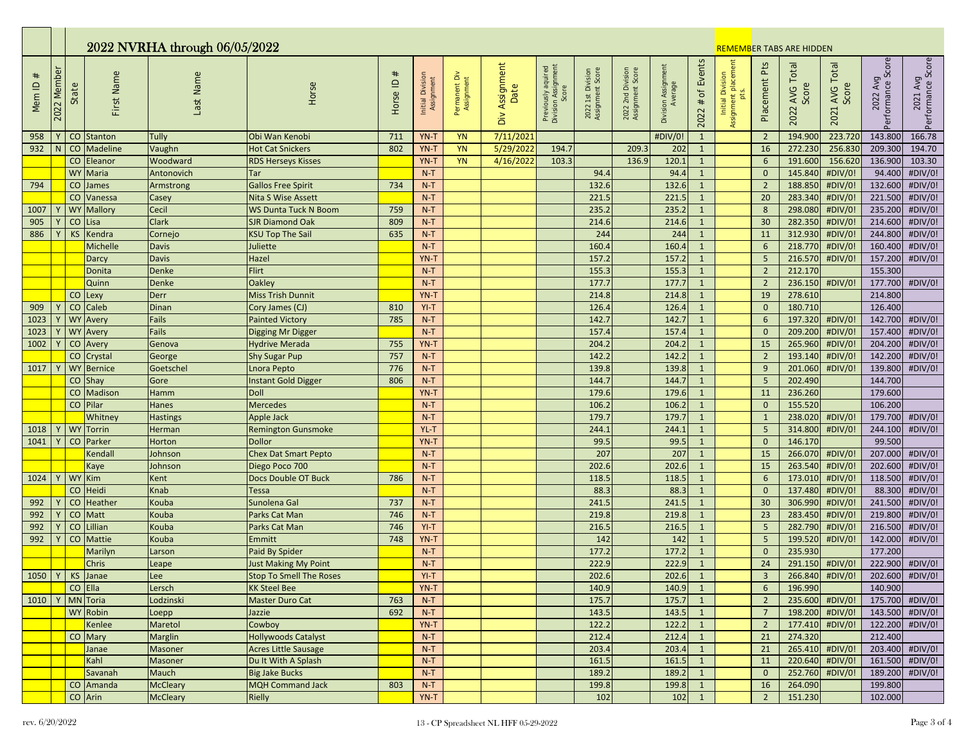|                       | 2022 NVRHA through 06/05/2022 |           |                   |                 |                                                        |                  |                                |                             |                           |                                                    |                                       |                                       |                                | <b>REMEMBER TABS ARE HIDDEN</b> |                                               |                                  |                            |                                   |                               |                               |
|-----------------------|-------------------------------|-----------|-------------------|-----------------|--------------------------------------------------------|------------------|--------------------------------|-----------------------------|---------------------------|----------------------------------------------------|---------------------------------------|---------------------------------------|--------------------------------|---------------------------------|-----------------------------------------------|----------------------------------|----------------------------|-----------------------------------|-------------------------------|-------------------------------|
| $_{\rm \#}$<br>Mem ID | 2022 Membe                    | State     | First Name        | Last Name       | Horse                                                  | $\#$<br>Horse ID | Initial Division<br>Assignment | Permanent Div<br>Assignment | Assignment<br>Date<br>Οiν | Previously aquired<br>Division Assignment<br>Score | 2022 1st Division<br>Assignment Score | 2022 2nd Division<br>Assignment Score | Division Assignment<br>Average | Events<br>$#$ of<br>2022        | Assignment placement<br>Initial Division<br>ă | Placement Pts                    | AVG Total<br>Score<br>2022 | <b>AVG Total</b><br>Score<br>2021 | 2022 Avg<br>Performance Score | 2021 Avg<br>Performance Score |
| 958                   |                               |           | CO Stanton        | Tully           | Obi Wan Kenobi                                         | 711              | YN-T                           | <b>YN</b>                   | 7/11/202                  |                                                    |                                       |                                       | #DIV/0                         | $\mathbf{1}$                    |                                               | $\overline{2}$                   | 194.900                    | 223.720                           | 143.800                       | 166.78                        |
| 932                   |                               |           | CO Madeline       | Vaughn          | <b>Hot Cat Snickers</b>                                | 802              | YN-T                           | <b>YN</b>                   | 5/29/2022                 | 194.7                                              |                                       | 209.3                                 | 202                            | $\mathbf{1}$                    |                                               | 16                               | 272.230                    | 256.830                           | 209.300                       | 194.70                        |
|                       |                               |           | CO Eleanor        | Woodward        | <b>RDS Herseys Kisses</b>                              |                  | YN-T                           | <b>YN</b>                   | 4/16/2022                 | 103.3                                              |                                       | 136.9                                 | 120.1                          | $\mathbf{1}$                    |                                               | $6\overline{6}$                  | 191.600                    | 156.620                           | 136.900                       | 103.30                        |
|                       |                               |           | WY Maria          | Antonovich      | Tar                                                    |                  | $N-T$                          |                             |                           |                                                    | 94.4                                  |                                       | 94.4                           | $\mathbf{1}$                    |                                               | $\mathbf 0$                      | 145.840                    | #DIV/0!                           | 94.400                        | #DIV/0!                       |
| 794                   |                               |           | CO James          | Armstrong       | <b>Gallos Free Spirit</b>                              | 734              | $N-T$                          |                             |                           |                                                    | 132.6                                 |                                       | 132.6                          | $\mathbf{1}$                    |                                               | $\overline{2}$                   | 188.850                    | #DIV/0!                           | 132.600                       | #DIV/0!                       |
|                       |                               |           | CO Vanessa        | Casey           | <b>Nita S Wise Assett</b>                              |                  | $N-T$                          |                             |                           |                                                    | 221.5                                 |                                       | 221.5                          | $\mathbf{1}$                    |                                               | 20                               | 283.340                    | #DIV/0!                           | 221.500                       | #DIV/0!                       |
| 1007                  |                               |           | <b>WY Mallory</b> | Cecil           | <b>WS Dunta Tuck N Boom</b>                            | 759              | $N-T$                          |                             |                           |                                                    | 235.2                                 |                                       | 235.2                          | $\mathbf{1}$                    |                                               | 8                                | 298.080                    | #DIV/0!                           | 235.200                       | #DIV/0!                       |
| 905                   |                               |           | $CO$ Lisa         | <b>Clark</b>    | <b>SJR Diamond Oak</b>                                 | 809              | $N-T$                          |                             |                           |                                                    | 214.6                                 |                                       | 214.6                          | $\mathbf{1}$                    |                                               | 30                               | 282.350                    | #DIV/0!                           | 214.600                       | #DIV/0!                       |
| 886                   |                               | <b>KS</b> | Kendra            | Cornejo         | <b>KSU Top The Sail</b>                                | 635              | $N-T$                          |                             |                           |                                                    | 244                                   |                                       | 244                            | $\mathbf{1}$                    |                                               | 11                               | 312.930                    | #DIV/0!                           | 244.800                       | #DIV/0!                       |
|                       |                               |           | Michelle          | <b>Davis</b>    | Juliette                                               |                  | $N-T$                          |                             |                           |                                                    | 160.4                                 |                                       | 160.4                          | $\mathbf{1}$                    |                                               | $\sqrt{6}$                       | 218.770                    | #DIV/0!                           | 160.400                       | #DIV/0!                       |
|                       |                               |           | Darcy             | <b>Davis</b>    | Hazel                                                  |                  | YN-T                           |                             |                           |                                                    | 157.2                                 |                                       | 157.2                          | $\mathbf{1}$                    |                                               | $5\phantom{a}$                   | 216.570                    | #DIV/0!                           | 157.200<br>155.300            | #DIV/0!                       |
|                       |                               |           | Donita<br>Quinn   | Denke<br>Denke  | Flirt<br>Oakley                                        |                  | $N-T$<br>$N-T$                 |                             |                           |                                                    | 155.3<br>177.7                        |                                       | 155.3<br>177.7                 | $\mathbf{1}$<br>$\mathbf{1}$    |                                               | $\overline{2}$<br>$\overline{2}$ | 212.170<br>236.150         | #DIV/0!                           | 177.700                       | #DIV/0!                       |
|                       |                               |           | CO Lexy           | Derr            | <b>Miss Trish Dunnit</b>                               |                  | YN-T                           |                             |                           |                                                    | 214.8                                 |                                       | 214.8                          | $\mathbf{1}$                    |                                               | $19\,$                           | 278.610                    |                                   | 214.800                       |                               |
| 909                   |                               |           | CO Caleb          | Dinan           | Cory James (CJ)                                        | 810              | $YI-T$                         |                             |                           |                                                    | 126.4                                 |                                       | 126.4                          | $\mathbf{1}$                    |                                               | $\mathbf{0}$                     | 180.710                    |                                   | 126.400                       |                               |
| 1023                  |                               |           | <b>WY</b> Avery   | Fails           | <b>Painted Victory</b>                                 | 785              | $N-T$                          |                             |                           |                                                    | 142.7                                 |                                       | 142.7                          | $\mathbf{1}$                    |                                               | $6\overline{6}$                  | 197.320                    | #DIV/0!                           | 142.700                       | #DIV/0!                       |
| 1023                  |                               |           | <b>WY</b> Avery   | Fails           | Digging Mr Digger                                      |                  | $N-T$                          |                             |                           |                                                    | 157.4                                 |                                       | 157.4                          | $\mathbf{1}$                    |                                               | $\mathbf{0}$                     | 209.200                    | #DIV/0!                           | 157.400                       | #DIV/0!                       |
| 1002                  |                               |           | CO Avery          | Genova          | <b>Hydrive Merada</b>                                  | 755              | YN-T                           |                             |                           |                                                    | 204.2                                 |                                       | 204.2                          | $\mathbf{1}$                    |                                               | 15                               | 265.960                    | #DIV/0!                           | 204.200                       | #DIV/0!                       |
|                       |                               |           | CO Crystal        | George          | <b>Shy Sugar Pup</b>                                   | 757              | $N-T$                          |                             |                           |                                                    | 142.2                                 |                                       | 142.2                          | $\mathbf{1}$                    |                                               | $\overline{2}$                   | 193.140                    | #DIV/0!                           | 142.200                       | #DIV/0!                       |
| 1017                  |                               |           | <b>WY Bernice</b> | Goetschel       | Lnora Pepto                                            | 776              | $N-T$                          |                             |                           |                                                    | 139.8                                 |                                       | 139.8                          | $\mathbf{1}$                    |                                               | 9                                | 201.060                    | #DIV/0!                           | 139.800                       | #DIV/0!                       |
|                       |                               |           | CO Shay           | Gore            | <b>Instant Gold Digger</b>                             | 806              | $N-T$                          |                             |                           |                                                    | 144.7                                 |                                       | 144.7                          | $\mathbf{1}$                    |                                               | $5\phantom{.0}$                  | 202.490                    |                                   | 144.700                       |                               |
|                       |                               |           | CO Madison        | Hamm            | Doll                                                   |                  | YN-T                           |                             |                           |                                                    | 179.6                                 |                                       | 179.6                          | $\mathbf{1}$                    |                                               | 11                               | 236.260                    |                                   | 179.600                       |                               |
|                       |                               |           | CO Pilar          | <b>Hanes</b>    | <b>Mercedes</b>                                        |                  | $N-T$                          |                             |                           |                                                    | 106.2                                 |                                       | 106.2                          | $\mathbf{1}$                    |                                               | $\mathbf{0}$                     | 155.520                    |                                   | 106.200                       |                               |
|                       |                               |           | Whitney           | <b>Hastings</b> | <b>Apple Jack</b>                                      |                  | $N-T$                          |                             |                           |                                                    | 179.7                                 |                                       | 179.                           | $\mathbf{1}$                    |                                               | $\mathbf{1}$                     | 238.020                    | #DIV/0!                           | 179.700                       | #DIV/0!                       |
| 1018                  |                               |           | WY Torrin         | <b>Herman</b>   | <b>Remington Gunsmoke</b>                              |                  | YL-T                           |                             |                           |                                                    | 244.1                                 |                                       | 244.1                          | $\mathbf{1}$                    |                                               | $5\phantom{.0}$                  | 314.800                    | #DIV/0!                           | 244.100                       | #DIV/0!                       |
| 1041                  |                               |           | CO Parker         | Horton          | <b>Dollor</b>                                          |                  | YN-T                           |                             |                           |                                                    | 99.5                                  |                                       | 99.5                           | $\mathbf{1}$                    |                                               | $\mathbf{0}$                     | 146.170                    |                                   | 99.500                        |                               |
|                       |                               |           | Kendall           | Johnson         | <b>Chex Dat Smart Pepto</b>                            |                  | $N-T$                          |                             |                           |                                                    | 207                                   |                                       | 207                            | $\mathbf{1}$                    |                                               | $15\,$                           | 266.070                    | #DIV/0!                           | 207.000                       | #DIV/0!                       |
|                       |                               |           | Kaye              | Johnson         | Diego Poco 700                                         |                  | $N-T$                          |                             |                           |                                                    | 202.6                                 |                                       | 202.6                          | $\mathbf{1}$                    |                                               | 15                               | 263.540                    | #DIV/0!                           | 202.600                       | #DIV/0!                       |
| 1024                  |                               |           | WY Kim            | Kent            | <b>Docs Double OT Buck</b>                             | 786              | $N-T$                          |                             |                           |                                                    | 118.5                                 |                                       | 118.5                          | $\mathbf{1}$                    |                                               | 6                                | 173.010                    | #DIV/0!                           | 118.500                       | #DIV/0!                       |
|                       |                               |           | CO Heidi          | Knab            | <b>Tessa</b>                                           |                  | $N-T$                          |                             |                           |                                                    | 88.3                                  |                                       | 88.3                           | $\mathbf{1}$                    |                                               | $\mathbf{0}$                     | 137.480                    | #DIV/0!                           | 88.300                        | #DIV/0!                       |
| 992                   |                               |           | CO Heather        | Kouba           | Sunolena Gal                                           | 737              | $N-T$                          |                             |                           |                                                    | 241.5                                 |                                       | 241.5                          | $\mathbf{1}$                    |                                               | 30                               | 306.990                    | #DIV/0!                           | 241.500                       | #DIV/0!                       |
| 992                   |                               |           | CO Matt           | Kouba           | Parks Cat Man                                          | 746              | $N-T$                          |                             |                           |                                                    | 219.8                                 |                                       | 219.8                          | $\mathbf{1}$                    |                                               | 23                               | 283.450                    | #DIV/0!                           | 219.800                       | #DIV/0!                       |
| 992                   |                               |           | CO Lillian        | Kouba           | Parks Cat Man                                          | 746              | $YI-T$                         |                             |                           |                                                    | 216.5                                 |                                       | 216.5                          | $\mathbf{1}$                    |                                               | $\overline{\mathbf{5}}$          | 282.790                    | #DIV/0!                           | 216.500                       | #DIV/0!                       |
| 992                   |                               |           | CO Mattie         | Kouba           | Emmitt                                                 | 748              | YN-T                           |                             |                           |                                                    | 142<br>177.2                          |                                       | 142                            | $\mathbf{1}$                    |                                               | 5 <sup>5</sup><br>$\mathbf{0}$   | 199.520<br>235.930         | #DIV/0!                           | 142.000<br>177.200            | #DIV/0!                       |
|                       |                               |           | Marilyn<br>Chris  | Larson          | Paid By Spider                                         |                  | $N-T$<br>$N-T$                 |                             |                           |                                                    | 222.9                                 |                                       | 177.2<br>222.9                 | $\mathbf{1}$<br>$\mathbf{1}$    |                                               | 24                               |                            | 291.150 #DIV/0!                   | 222.900 #DIV/0!               |                               |
| 1050 Y KS Janae       |                               |           |                   | Leape<br>Lee    | <b>Just Making My Point</b><br>Stop To Smell The Roses |                  | $YI-T$                         |                             |                           |                                                    | 202.6                                 |                                       | 202.6                          | $\mathbf{1}$                    |                                               | $\overline{3}$                   |                            | 266.840 #DIV/0!                   | 202.600 #DIV/0!               |                               |
|                       |                               |           | CO Ella           | Lersch          | <b>KK Steel Bee</b>                                    |                  | YN-T                           |                             |                           |                                                    | 140.9                                 |                                       | 140.9                          | $\mathbf{1}$                    |                                               | 6                                | 196.990                    |                                   | 140.900                       |                               |
| 1010                  |                               |           | MN Toria          | Lodzinski       | Master Duro Cat                                        | 763              | $N-T$                          |                             |                           |                                                    | 175.7                                 |                                       | 175.7                          | $\mathbf{1}$                    |                                               | $\overline{2}$                   |                            | 235.600 #DIV/0!                   | 175.700 #DIV/0!               |                               |
|                       |                               |           | WY Robin          | Loepp           | Jazzie                                                 | 692              | $N-T$                          |                             |                           |                                                    | 143.5                                 |                                       | 143.5                          | $\mathbf{1}$                    |                                               | $7^{\circ}$                      |                            | 198.200 #DIV/0!                   | 143.500 #DIV/0!               |                               |
|                       |                               |           | Kenlee            | Maretol         | Cowboy                                                 |                  | YN-T                           |                             |                           |                                                    | 122.2                                 |                                       | 122.2                          | $\mathbf{1}$                    |                                               | $\overline{2}$                   |                            | 177.410 #DIV/0!                   | 122.200 #DIV/0!               |                               |
|                       |                               |           | CO Mary           | Marglin         | <b>Hollywoods Catalyst</b>                             |                  | $N-T$                          |                             |                           |                                                    | 212.4                                 |                                       | 212.4                          | $\mathbf{1}$                    |                                               | 21                               | 274.320                    |                                   | 212.400                       |                               |
|                       |                               |           | Janae             | <b>Masoner</b>  | <b>Acres Little Sausage</b>                            |                  | $N-T$                          |                             |                           |                                                    | 203.4                                 |                                       | 203.4                          | $\mathbf{1}$                    |                                               | 21                               |                            | 265.410 #DIV/0!                   | 203.400 #DIV/0!               |                               |
|                       |                               |           | Kahl              | Masoner         | Du It With A Splash                                    |                  | $N-T$                          |                             |                           |                                                    | 161.5                                 |                                       | 161.5                          | $\mathbf{1}$                    |                                               | 11                               |                            | 220.640 #DIV/0!                   | 161.500 #DIV/0!               |                               |
|                       |                               |           | Savanah           | Mauch           | <b>Big Jake Bucks</b>                                  |                  | $N-T$                          |                             |                           |                                                    | 189.2                                 |                                       | 189.2                          | $\mathbf{1}$                    |                                               | $\mathbf{0}$                     |                            | 252.760 #DIV/0!                   | 189.200 #DIV/0!               |                               |
|                       |                               |           | CO Amanda         | <b>McCleary</b> | <b>MQH Command Jack</b>                                | 803              | $N-T$                          |                             |                           |                                                    | 199.8                                 |                                       | 199.8                          | $\mathbf{1}$                    |                                               | 16                               | 264.090                    |                                   | 199.800                       |                               |
|                       |                               |           | CO Arin           | McCleary        | Rielly                                                 |                  | YN-T                           |                             |                           |                                                    | 102                                   |                                       | 102                            | $\mathbf{1}$                    |                                               | $2^{\circ}$                      | 151.230                    |                                   | 102.000                       |                               |